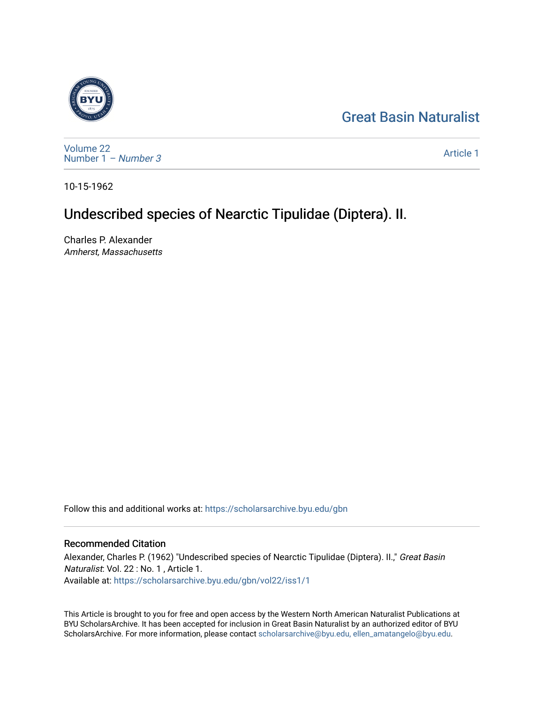# [Great Basin Naturalist](https://scholarsarchive.byu.edu/gbn)



[Volume 22](https://scholarsarchive.byu.edu/gbn/vol22) [Number 1](https://scholarsarchive.byu.edu/gbn/vol22/iss1) – Number 3

[Article 1](https://scholarsarchive.byu.edu/gbn/vol22/iss1/1) 

10-15-1962

# Undescribed species of Nearctic Tipulidae (Diptera). II.

Charles P. Alexander Amherst, Massachusetts

Follow this and additional works at: [https://scholarsarchive.byu.edu/gbn](https://scholarsarchive.byu.edu/gbn?utm_source=scholarsarchive.byu.edu%2Fgbn%2Fvol22%2Fiss1%2F1&utm_medium=PDF&utm_campaign=PDFCoverPages) 

# Recommended Citation

Alexander, Charles P. (1962) "Undescribed species of Nearctic Tipulidae (Diptera). II.," Great Basin Naturalist: Vol. 22 : No. 1 , Article 1. Available at: [https://scholarsarchive.byu.edu/gbn/vol22/iss1/1](https://scholarsarchive.byu.edu/gbn/vol22/iss1/1?utm_source=scholarsarchive.byu.edu%2Fgbn%2Fvol22%2Fiss1%2F1&utm_medium=PDF&utm_campaign=PDFCoverPages)

This Article is brought to you for free and open access by the Western North American Naturalist Publications at BYU ScholarsArchive. It has been accepted for inclusion in Great Basin Naturalist by an authorized editor of BYU ScholarsArchive. For more information, please contact [scholarsarchive@byu.edu, ellen\\_amatangelo@byu.edu.](mailto:scholarsarchive@byu.edu,%20ellen_amatangelo@byu.edu)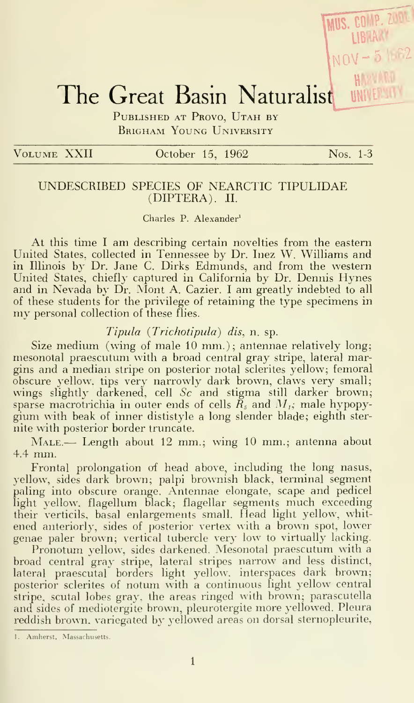# The Great Basin Naturalist WWLF WILE

PUBLISHED AT PROVO, UTAH BY Brigham Young University

## VOLUME XXII October 15, 1962 Nos. 1-3

MUS. COMP. 2004

# UNDESCRIBED SPECIES OF NEARCTIC TIPULIDAE (DIPTERA). II.

## Charles P. Alexander'

At this time <sup>I</sup> am describing certain novelties from the eastern United States, collected in Tennessee by Dr. Inez W. Williams and in Illinois by Dr. Jane C. Dirks Edmunds, and from the western United States, chiefly captured in California by Dr. Dennis Hynes and in Nevada by Dr. Alont A. Cazier. <sup>I</sup> am greatly indebted to all of these students for the privilege of retaining the type specimens in my personal collection of these flies.

# Tipula (Trichotipula) dis, n. sp.

Size medium (wing of male 10 mm.); antennae relatively long; mesonotal praescutum with a broad central gray stripe, lateral margins and a median stripe on posterior notal sclerites yellow; femoral obscure yellow, tips very narrowly dark brown, claws very small; wings slightly darkened, cell  $Sc$  and stigma still darker brown; sparse macrotrichia in outer ends of cells  $\tilde{R}_s$  and  $M_i$ ; male hypopygium with beak of inner dististyle a long slender blade; eighth ster nite with posterior border truncate.

MALE.— Length about 12 mm.; wing 10 mm.; antenna about 4.4 mm.

Frontal prolongation of head above, including the long nasus, yellow, sides dark brown; palpi brownish black, terminal segment paling into obscure orange. Antennae elongate, scape and pedicel light yellow, flagellum black; flagellar segments much exceeding their verticils, basal enlargements small. Head light yellow, whitened anteriorly, sides of posterior vertex with a brown spot, lower genae paler brown; vertical tubercle very low to virtually lacking.

Pronotum yellow, sides darkened. Mesonotal praescutum with a broad central gray stripe, lateral stripes narrow and less distinct, lateral praescutal borders light yellow, interspaces dark brown; posterior sclerites of notum with a continuous light yellow central stripe, scutal lobes gray, the areas ringed with brown; parascutella and sides of mediotergite brown, pleurotergite more yellowed. Pleura reddish brown, variegated by yellowed areas on dorsal sternopleurite,

<sup>1.</sup> Amherst, Massachusetts.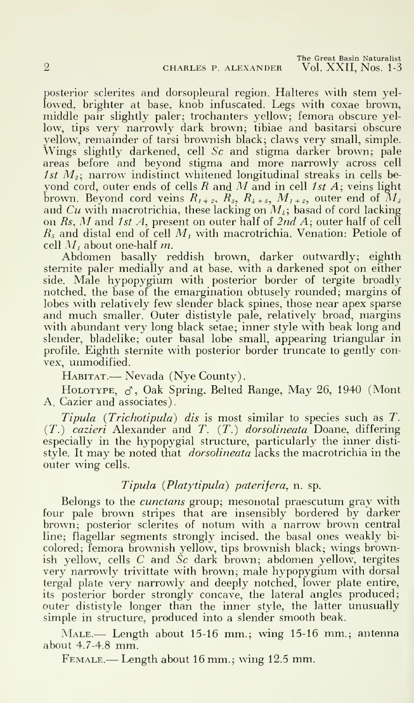posterior sclerites and dorsopleural region. Halteres with stem yellowed, brighter at base, knob infuscated. Legs with coxae brown, middle pair slightly paler; trochanters yellow; femora obscure yellow, tips very narrowly dark brown; tibiae and basitarsi obscure yellow, remainder of tarsi brownish black; claws very small, simple. Wings slightly darkened, cell Sc and stigma darker brown; pale areas before and beyond stigma and more narrowly across cell 1st  $M<sub>2</sub>$ ; narrow indistinct whitened longitudinal streaks in cells beyond cord, outer ends of cells R and M and in cell 1st  $A$ ; veins light brown. Beyond cord veins  $R_{1+2}$ ,  $R_{3}$ ,  $R_{4+5}$ ,  $M_{1+2}$ , outer end of  $M_{3}$ and Cu with macrotrichia, these lacking on  $M_i$ ; basad of cord lacking on Rs, M and 1st A, present on outer half of  $2ndA$ ; outer half of cell  $R_s$  and distal end of cell  $M_t$  with macrotrichia. Venation: Petiole of cell  $M_t$  about one-half m.

Abdomen basally reddish brown, darker outwardly; eighth sternite paler medially and at base, with a darkened spot on either side. Male hypopygium with posterior border of tergite broadly notched, the base of the emargination obtusely rounded; margins of lobes with relatively few slender black spines, those near apex sparse and much smaller. Outer dististyle pale, relatively broad, margins with abundant very long black setae; inner style with beak long and slender, bladelike; outer basal lobe small, appearing triangular in profile. Eighth sternite with posterior border truncate to gently con vex, unmodified.

HABITAT.— Nevada (Nye County).

HOLOTYPE,  $\sigma$ , Oak Spring, Belted Range, May 26, 1940 (Mont A. Cazier and associates).

Tipula (Trichotipula) dis is most similar to species such as T.  $(T<sub>1</sub>)$  cazieri Alexander and T.  $(T<sub>1</sub>)$  dorsolineata Doane, differing especially in the hypopygial structure, particularly the inner disti style. It may be noted that *dorsolineata* lacks the macrotrichia in the outer wing cells.

# Tipula (Platytipula) paterifera, n. sp.

Belongs to the *cunctans* group; mesonotal praescutum gray with four pale brown stripes that are insensibly bordered by darker brown; posterior sclerites of notum with a narrow brown central line; flagellar segments strongly incised, the basal ones weakly bi colored; femora brownish yellow, tips brownish black; wings brownish yellow, cells  $C$  and  $\tilde{S}c$  dark brown; abdomen yellow, tergites very narrowly trivittate with brown; male hypopygium with dorsal tergal plate very narrowly and deeply notched, lower plate entire, its posterior border strongly concave, the lateral angles produced; outer dististyle longer than the inner style, the latter unusually simple in structure, produced into a slender smooth beak.

MALE.— Length about 15-16 mm.; wing 15-16 mm.; antenna about 4.7-4.8 mm.

Female.— Length about <sup>16</sup> mm.; wing 12.5 mm.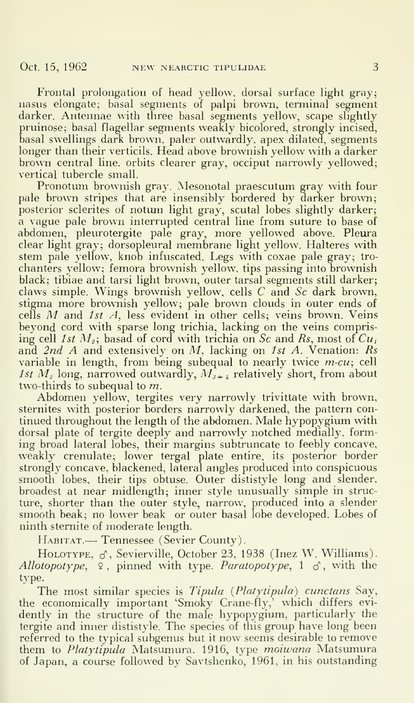Frontal prolongation of head yellow, dorsal surface light gray; nasus elongate; basal segments of palpi brown, terminal segment darker. Antennae with three basal segments yellow, scape slightly pruinose; basal flagellar segments weakly bicolored, strongly incised, basal swellings dark brown, paler outwardly, apex dilated, segments longer than their verticils. Head above brownish yellow with a darker brown central line, orbits clearer gray, occiput narrowly yellowed; vertical tubercle small.

Pronotum brownish gray. Mesonotal praescutum gray with four pale brown stripes that are insensibly bordered by darker brown; posterior sclerites of notum light gray, scutal lobes slightly darker; a vague pale brown interrupted central line from suture to base of abdomen, pleurotergite pale gray, more yellowed above. Pleura clear light gray; dorsopleural membrane light yellow. Halteres with stem pale yellow, knob infuscated. Legs with coxae pale gray; tro chanters yellow; femora brownish yellow, tips passing into brownish black; tibiae and tarsi light brown, outer tarsal segments still darker; claws simple. Wings brownish yellow, cells C and Sc dark brown, stigma more brownish yellow; pale brown clouds in outer ends of cells M and 1st  $A$ , less evident in other cells; veins brown. Veins beyond cord with sparse long trichia, lacking on the veins comprising cell 1st  $M_z;$  basad of cord with trichia on Sc and Rs, most of  $Cu_{\scriptscriptstyle T}$ and 2nd A and extensively on  $M$ , lacking on 1st A. Venation:  $Rs$ variable in length, from being subequal to nearly twice  $m$ -cu; cell 1st  $M<sub>z</sub>$  long, narrowed outwardly,  $M<sub>s+4</sub>$  relatively short, from about two-thirds to subequal to  $m$ .

Abdomen yellow, tergites very narrowly trivittate with brown, sternites with posterior borders narrowly darkened, the pattern con tinued throughout the length of the abdomen. Male hypopygium with dorsal plate of tergite deeply and narrowly notched medially, forming broad lateral lobes, their margins subtruncate to feebly concave, weakly crenulate; lower tergal plate entire, its posterior border strongly concave, blackened, lateral angles produced into conspicuous smooth lobes, their tips obtuse. Outer dististyle long and slender, broadest at near midlength; inner style unusually simple in structure, shorter than the outer style, narrow, produced into a slender smooth beak; no lower beak or outer basal lobe developed. Lobes of ninth stemite of moderate length.

HABITAT. — Tennessee (Sevier County).

HOLOTYPE,  $\sigma$ , Sevierville, October 23, 1938 (Inez W. Williams). Allotopotype,  $\varphi$ , pinned with type. Paratopotype, 1  $\sigma$ , with the type.

The most similar species is Tipula (Platytipula) cunctans Say, the economically important 'Smoky Crane-fly,' which differs evi dently in the structure of the male hypopygium. particularly the tergite and inner dististyle. The species of this group have long been referred to the typical subgenus but it now seems desirable to remove them to Platytipula Matsumura. 1916, type moiwana Matsumura of Japan, a course followed by Savtshenko, 1961. in his outstanding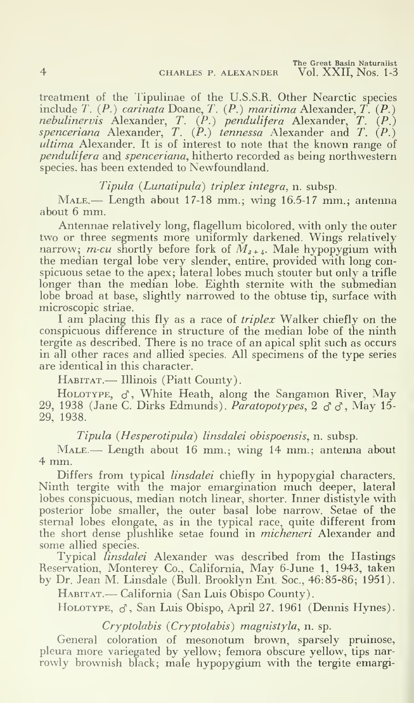treatment of the Tipulinae of the U.S.S.R. Other Nearctic species include T.  $(P.)$  carinata Doane, T.  $(P.)$  maritima Alexander,  $T.$   $(P.)$ *nebulinervis* Alexander, *T.*  $(P_+)$  *pendulifera* Alexander, *T.*  $(P_+)$ spenceriana Alexander, T.  $(P.)$  tennessa Alexander and T.  $(P.)$ ultima Alexander. It is of interest to note that the known range of pendulifera and spenceriana, hitherto recorded as being northwestern species, has been extended to Newfoundland.

## Tipula (Lunatipula) triplex integra, n. subsp.

 $M_{ALE.}$  Length about 17-18 mm.; wing 16.5-17 mm.; antenna about <sup>6</sup> mm.

Antennae relatively long, flagellum bicolored, with only the outer two or three segments more uniformly darkened. Wings relatively narrow; *m-cu* shortly before fork of  $\tilde{M}_{a + i}$ . Male hypopygium with the median tergal lobe very slender, entire, provided with long con spicuous setae to the apex; lateral lobes much stouter but only <sup>a</sup> trifle longer than the median lobe. Eighth sternite with the submedian lobe broad at base, slightly narrowed to the obtuse tip, surface with microscopic striae.

I am placing this fly as a race of *triplex* Walker chiefly on the conspicuous difference in structure of the median lobe of the ninth tergite as described. There is no trace of an apical split such as occurs in all other races and allied species. All specimens of the type series are identical in this character.

HABITAT. - Illinois (Piatt County).

HOLOTYPE,  $\sigma$ , White Heath, along the Sangamon River, May 29, 1938 (Jane C. Dirks Edmunds). *Paratopotypes*,  $2 \, \sigma \, \sigma$ , May 15-29, 1938.

Tipula (Hesperotipula) linsdalei obispoensis, n. subsp.

MALE.— Length about 16 mm.; wing 14 mm.; antenna about 4 mm.

Differs from typical *linsdalei* chiefly in hypopygial characters. Ninth tergite with the major emargination much deeper, lateral lobes conspicuous, median notch linear, shorter. Inner dististyle with posterior lobe smaller, the outer basal lobe narrow. Setae of the sternal lobes elongate, as in the typical race, quite different from the short dense plushlike setae found in micheneri Alexander and some allied species.

Typical *linsdalei* Alexander was described from the Hastings Reservation, Monterey Co., California, May 6-June 1, 1943, taken by Dr. Jean M. Linsdale (Bull. Brooklyn Ent. Soc, 46:85-86; 1951).

HABITAT.— California (San Luis Obispo County).

HOLOTYPE,  $\sigma$ , San Luis Obispo, April 27, 1961 (Dennis Hynes).

#### Cryptolabis {Cryptolabis) magnistyla, n. sp.

General coloration of mesonotum brown, sparsely pruinose, pleura more variegated by yellow; femora obscure yellow, tips nar rowly brownish black; male hypopygium with the tergite emargi-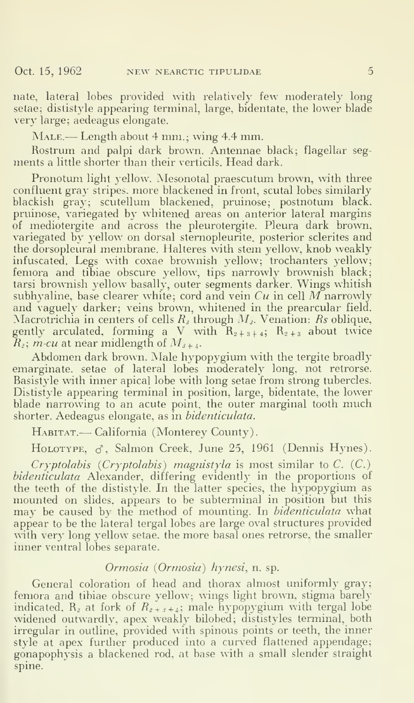nate, lateral lobes provided with relatively few moderately long setae; dististyle appearing terminal, large, bidentate, the lower blade very large; aedeagus elongate.

MALE.— Length about 4 mm.; wing 4.4 mm.

Rostrum and palpi dark brown. Antennae black; flagellar seg ments a little shorter than their verticils. Head dark.

Pronotum light yellow. Mesonotal praescutum brown, with three confluent gray stripes, more blackened in front, scutal lobes similarly blackish gray; scutellum blackened, pruinose; postnotum black. pruinose, variegated by whitened areas on anterior lateral margins of mediotergite and across the pleurotergite. Pleura dark brown, variegated by yellow on dorsal stemopleurite, posterior sclerites and the dorsopleural membrane. Halteres with stem yellow, knob weakly infuscated. Legs with coxae brownish yellow; trochanters yellow; femora and tibiae obscure yellow, tips narrowly brownish black; tarsi brownish yellow basally, outer segments darker. Wings whitish subhyaline, base clearer white; cord and vein  $Cu$  in cell M narrowly and vaguely darker; veins brown, whitened in the prearcular field. Macrotrichia in centers of cells  $R<sub>s</sub>$  through  $M<sub>s</sub>$ . Venation: Rs oblique, gently arculated, forming a V with  $R_{2+3+4}$ ;  $R_{2+3}$  about twice  $R_z$ ; *m-cu* at near midlength of  $M_{z+i}$ .

Abdomen dark brown. Male hypopygium with the tergite broadly emarginate. setae of lateral lobes moderately long, not retrorse. Basistyle with inner apical lobe with long setae from strong tubercles. Dististyle appearing terminal in position, large, bidentate, the lower blade narrowing to an acute point, the outer marginal tooth much shorter. Aedeagus elongate, as in bidenticulata.

HABITAT.— California (Monterey County).

HOLOTYPE,  $\sigma$ , Salmon Creek, June 25, 1961 (Dennis Hynes).

Cryptolabis (Cryptolabis) magnistyla is most similar to C.  $(C)$ .) bidenticulata Alexander, differing evidently in the proportions of the teeth of the dististyle. In the latter species, the hypopygium as mounted on slides, appears to be subterminal in position but this may be caused by the method of mounting. In bidenticulata what appear to be the lateral tergal lobes are large oval structures provided with very long yellow setae, the more basal ones retrorse, the smaller inner ventral lobes separate.

#### Ormosia (Ormosia) hynesi, n. sp.

General coloration of head and thorax almost uniformly gray; femora and tibiae obscure yellow; wings light brown, stigma barely indicated.  $R_z$  at fork of  $R_{z + s + 4}$ ; male hypopygium with tergal lobe widened outwardly, apex weakly bilobed; dististyles terminal, both irregular in outline, provided with spinous points or teeth, the inner style at apex further produced into a curved flattened appendage; gonapophysis a blackened rod, at base with a small slender straight spine.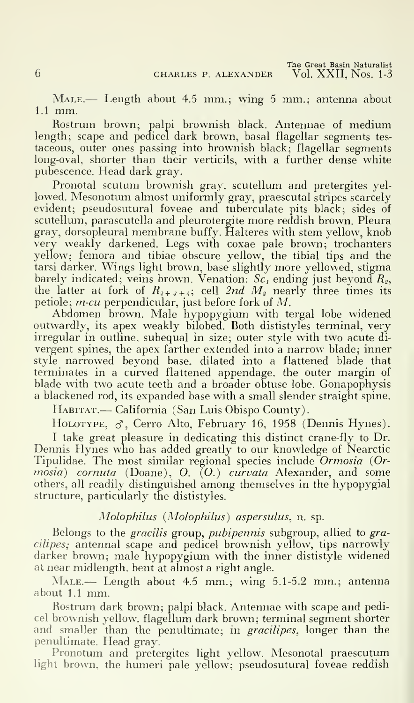MALE.— Length about 4.5 mm.; wing 5 mm.; antenna about 1.1 mm.

Rostrum brown; palpi brownish black. Antennae of medium length; scape and pedicel dark brown, basal flagellar segments testaceous, outer ones passing into brownish black; flagellar segments long-oval, shorter than their verticils, with a further dense white pubescence. Head dark gray.

Pronotal scutum brownish gray, scutellum and pretergites yellowed. Mesonotum almost uniformly gray, praescutal stripes scarcely evident; pseudosutural foveae and tuberculate pits black; sides of scutellum, parascutella and pleurotergite more reddish brown. Pleura gray, dorsopleural membrane buffy. Halteres with stem yellow, knob very weakly darkened. Legs with coxae pale brown; trochanters yellow; femora and tibiae obscure yellow, the tibial tips and the tarsi darker. Wings light brown, base slightly more yellowed, stigma barely indicated; veins brown. Venation:  $Sc<sub>i</sub>$  ending just beyond  $R<sub>2</sub>$ , the latter at fork of  $R_{z+s+4}$ ; cell 2nd  $M_z$  nearly three times its petiole;  $m$ -cu perpendicular, just before fork of  $M$ .

Abdomen brown. Male hypopygium with tergal lobe widened outwardly, its apex weakly bilobed. Both dististyles terminal, very irregular in outline, subequal in size; outer style with two acute di vergent spines, the apex farther extended into a narrow blade; inner style narrowed beyond base, dilated into a flattened blade that terminates in a curved flattened appendage, the outer margin of blade with two acute teeth and a broader obtuse lobe. Gonapophysis a blackened rod, its expanded base with a small slender straight spine.

HABITAT.— California (San Luis Obispo County).

HOLOTYPE,  $\sigma$ , Cerro Alto, February 16, 1958 (Dennis Hynes).

<sup>I</sup> take great pleasure in dedicating this distinct crane-fly to Dr. Dennis Hynes who has added greatly to our knowledge of Nearctic Tipulidae. The most similar regional species include Ormosia (Ormosia) cornuta (Doane), O. (O.) curvata Alexander, and some others, all readily distinguished among themselves in the hypopygial structure, particularly the dististyles.

# Molophilus (Molophilus) aspersulus, n. sp.

Belongs to the *gracilis* group, *pubipennis* subgroup, allied to gracilipes; antennal scape and pedicel brownish yellow, tips narrowly darker brown; male hypopygium with the inner dististyle widened at near midlength. bent at almost a right angle.

MALE.— Length about 4.5 mm.; wing 5.1-5.2 mm.; antenna about 1.1 mm.

Rostrum dark brown; palpi black. Antennae with scape and pedicel brownish yellow, flagellum dark brown; terminal segment shorter and smaller than the penultimate; in *gracilipes*, longer than the penultimate. Head gray.

Pronotum and pretergites light yellow. Mesonotal praescutum light brown, the humeri pale yellow; pseudosutural foveae reddish